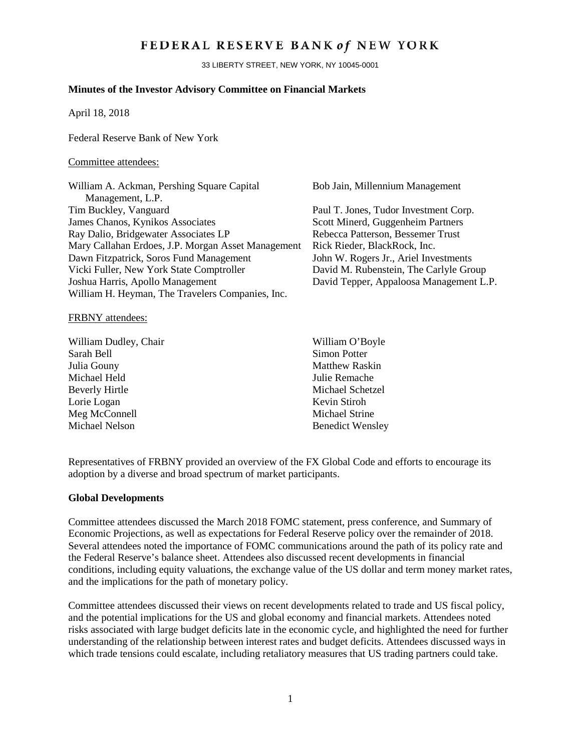## FEDERAL RESERVE BANK of NEW YORK

33 LIBERTY STREET, NEW YORK, NY 10045-0001

## **Minutes of the Investor Advisory Committee on Financial Markets**

April 18, 2018

Federal Reserve Bank of New York

#### Committee attendees:

| William A. Ackman, Pershing Square Capital         | Bob Jain, Millennium Management         |
|----------------------------------------------------|-----------------------------------------|
| Management, L.P.                                   |                                         |
| Tim Buckley, Vanguard                              | Paul T. Jones, Tudor Investment Corp.   |
| James Chanos, Kynikos Associates                   | Scott Minerd, Guggenheim Partners       |
| Ray Dalio, Bridgewater Associates LP               | Rebecca Patterson, Bessemer Trust       |
| Mary Callahan Erdoes, J.P. Morgan Asset Management | Rick Rieder, BlackRock, Inc.            |
| Dawn Fitzpatrick, Soros Fund Management            | John W. Rogers Jr., Ariel Investments   |
| Vicki Fuller, New York State Comptroller           | David M. Rubenstein, The Carlyle Group  |
| Joshua Harris, Apollo Management                   | David Tepper, Appaloosa Management L.P. |
| William H. Heyman, The Travelers Companies, Inc.   |                                         |
|                                                    |                                         |

FRBNY attendees:

William Dudley, Chair William O'Boyle Sarah Bell Simon Potter Julia Gouny **Matthew Raskin** Michael Held Julie Remache Beverly Hirtle Michael Schetzel Lorie Logan Kevin Stiroh Meg McConnell Michael Strine Michael Nelson Benedict Wensley

Representatives of FRBNY provided an overview of the FX Global Code and efforts to encourage its adoption by a diverse and broad spectrum of market participants.

### **Global Developments**

Committee attendees discussed the March 2018 FOMC statement, press conference, and Summary of Economic Projections, as well as expectations for Federal Reserve policy over the remainder of 2018. Several attendees noted the importance of FOMC communications around the path of its policy rate and the Federal Reserve's balance sheet. Attendees also discussed recent developments in financial conditions, including equity valuations, the exchange value of the US dollar and term money market rates, and the implications for the path of monetary policy.

Committee attendees discussed their views on recent developments related to trade and US fiscal policy, and the potential implications for the US and global economy and financial markets. Attendees noted risks associated with large budget deficits late in the economic cycle, and highlighted the need for further understanding of the relationship between interest rates and budget deficits. Attendees discussed ways in which trade tensions could escalate, including retaliatory measures that US trading partners could take.